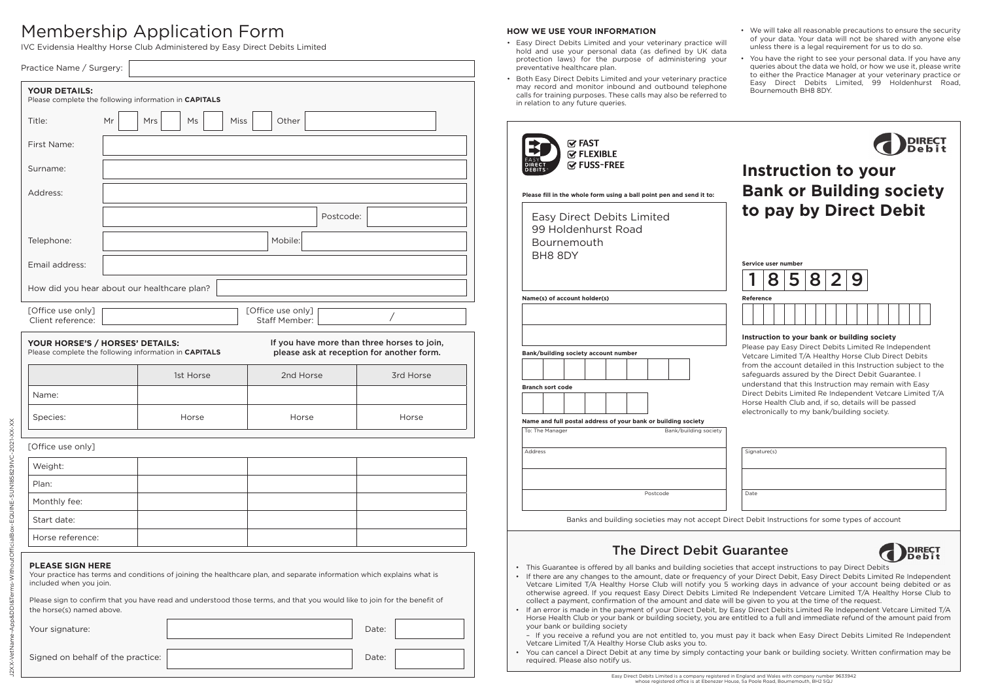# Membership Application Form

J2XX-VetName-App&DDI&Terms-WithoutOfficialBox-EQUINE-SUN185829IVC-2021-XX-XX

**D&DDI&Te** 

WithoutOfficialBox-EQUINE-SUNI85829IVC-2021-XX-XX

IVC Evidensia Healthy Horse Club Administered by Easy Direct Debits Limited

| Practice Name / Surgery:                                                                 |    |         |           |      |                                                                                                                                                                                                                                                    |           |       |                                                                                          |
|------------------------------------------------------------------------------------------|----|---------|-----------|------|----------------------------------------------------------------------------------------------------------------------------------------------------------------------------------------------------------------------------------------------------|-----------|-------|------------------------------------------------------------------------------------------|
| YOUR DETAILS:<br>Please complete the following information in CAPITALS                   |    |         |           |      |                                                                                                                                                                                                                                                    |           |       |                                                                                          |
| Title:                                                                                   | Mr | Mrs     | Ms        | Miss | Other                                                                                                                                                                                                                                              |           |       |                                                                                          |
| First Name:                                                                              |    |         |           |      |                                                                                                                                                                                                                                                    |           |       |                                                                                          |
| Surname:                                                                                 |    |         |           |      |                                                                                                                                                                                                                                                    |           |       |                                                                                          |
| Address:                                                                                 |    |         |           |      |                                                                                                                                                                                                                                                    |           |       |                                                                                          |
|                                                                                          |    |         |           |      |                                                                                                                                                                                                                                                    | Postcode: |       |                                                                                          |
| Telephone:                                                                               |    | Mobile: |           |      |                                                                                                                                                                                                                                                    |           |       |                                                                                          |
| Email address:                                                                           |    |         |           |      |                                                                                                                                                                                                                                                    |           |       |                                                                                          |
| How did you hear about our healthcare plan?                                              |    |         |           |      |                                                                                                                                                                                                                                                    |           |       |                                                                                          |
| [Office use only]<br>Client reference:                                                   |    |         |           |      | [Office use only]<br>Staff Member:                                                                                                                                                                                                                 |           | Τ     |                                                                                          |
| YOUR HORSE'S / HORSES' DETAILS:<br>Please complete the following information in CAPITALS |    |         |           |      |                                                                                                                                                                                                                                                    |           |       | If you have more than three horses to join,<br>please ask at reception for another form. |
|                                                                                          |    |         | 1st Horse |      | 2nd Horse                                                                                                                                                                                                                                          |           |       | 3rd Horse                                                                                |
| Name:                                                                                    |    |         |           |      |                                                                                                                                                                                                                                                    |           |       |                                                                                          |
| Species:                                                                                 |    |         | Horse     |      | Horse                                                                                                                                                                                                                                              |           |       | Horse                                                                                    |
| [Office use only]                                                                        |    |         |           |      |                                                                                                                                                                                                                                                    |           |       |                                                                                          |
| Weight:                                                                                  |    |         |           |      |                                                                                                                                                                                                                                                    |           |       |                                                                                          |
| Plan:                                                                                    |    |         |           |      |                                                                                                                                                                                                                                                    |           |       |                                                                                          |
| Monthly fee:                                                                             |    |         |           |      |                                                                                                                                                                                                                                                    |           |       |                                                                                          |
| Start date:                                                                              |    |         |           |      |                                                                                                                                                                                                                                                    |           |       |                                                                                          |
| Horse reference:                                                                         |    |         |           |      |                                                                                                                                                                                                                                                    |           |       |                                                                                          |
| <b>PLEASE SIGN HERE</b><br>included when you join.                                       |    |         |           |      | Your practice has terms and conditions of joining the healthcare plan, and separate information which explains what is<br>Please sign to confirm that you have read and understood those terms, and that you would like to join for the benefit of |           |       |                                                                                          |
| the horse(s) named above.                                                                |    |         |           |      |                                                                                                                                                                                                                                                    |           | Date: |                                                                                          |
| Your signature:                                                                          |    |         |           |      |                                                                                                                                                                                                                                                    |           |       |                                                                                          |
| Signed on behalf of the practice:                                                        |    |         |           |      |                                                                                                                                                                                                                                                    |           | Date: |                                                                                          |

# **HOW WE USE YOUR INFORMATION**

- Easy Direct Debits Limited and your veterinary practice will hold and use your personal data (as defined by UK data protection laws) for the purpose of administering your preventative healthcare plan.
- Both Easy Direct Debits Limited and your veterinary practice may record and monitor inbound and outbound telephone calls for training purposes. These calls may also be referred to in relation to any future queries.

- We will take all reasonable precautions to ensure the security of your data. Your data will not be shared with anyone else unless there is a legal requirement for us to do so.
- You have the right to see your personal data. If you have any queries about the data we hold, or how we use it, please write to either the Practice Manager at your veterinary practice or Easy Direct Debits Limited, 99 Holdenhurst Road, Bournemouth BH8 8DY.

| <b>√ FAST</b><br><b><b></b><del></del>∞ FLEXIBLE</b><br><b>I</b> ∞ FUSS-FREE<br>Please fill in the whole form using a ball point pen and send it to: | Instruction to your<br><b>Bank or Building society</b>                                                                                                                                                                                                                                                                                                                                                                                                                        |  |  |  |  |
|------------------------------------------------------------------------------------------------------------------------------------------------------|-------------------------------------------------------------------------------------------------------------------------------------------------------------------------------------------------------------------------------------------------------------------------------------------------------------------------------------------------------------------------------------------------------------------------------------------------------------------------------|--|--|--|--|
| Easy Direct Debits Limited<br>99 Holdenhurst Road<br><b>Bournemouth</b><br>BH8 8DY                                                                   | to pay by Direct Debit<br>Service user number                                                                                                                                                                                                                                                                                                                                                                                                                                 |  |  |  |  |
| Name(s) of account holder(s)<br>Bank/building society account number<br><b>Branch sort code</b>                                                      | Reference<br>Instruction to your bank or building society<br>Please pay Easy Direct Debits Limited Re Independent<br>Vetcare Limited T/A Healthy Horse Club Direct Debits<br>from the account detailed in this Instruction subject to the<br>safeguards assured by the Direct Debit Guarantee. I<br>understand that this Instruction may remain with Easy<br>Direct Debits Limited Re Independent Vetcare Limited T/A<br>Horse Health Club and, if so, details will be passed |  |  |  |  |
| Name and full postal address of your bank or building society<br>Bank/building society<br>To: The Manager<br>Address<br>Postcode                     | electronically to my bank/building society.<br>Signature(s)<br>Date                                                                                                                                                                                                                                                                                                                                                                                                           |  |  |  |  |

Banks and building societies may not accept Direct Debit Instructions for some types of account

# The Direct Debit Guarantee



- This Guarantee is offered by all banks and building societies that accept instructions to pay Direct Debits
- If there are any changes to the amount, date or frequency of your Direct Debit, Easy Direct Debits Limited Re Independent Vetcare Limited T/A Healthy Horse Club will notify you 5 working days in advance of your account being debited or as otherwise agreed. If you request Easy Direct Debits Limited Re Independent Vetcare Limited T/A Healthy Horse Club to collect a payment, confirmation of the amount and date will be given to you at the time of the request.
- If an error is made in the payment of your Direct Debit, by Easy Direct Debits Limited Re Independent Vetcare Limited T/A Horse Health Club or your bank or building society, you are entitled to a full and immediate refund of the amount paid from your bank or building society

– If you receive a refund you are not entitled to, you must pay it back when Easy Direct Debits Limited Re Independent Vetcare Limited T/A Healthy Horse Club asks you to.

• You can cancel a Direct Debit at any time by simply contacting your bank or building society. Written confirmation may be required. Please also notify us.